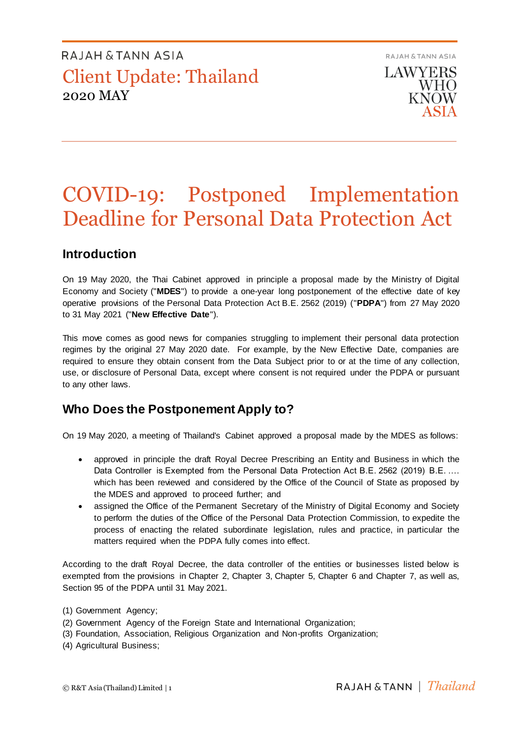RAJAH & TANN ASIA **LAWYERS WHO KNOW** ASIA

# COVID-19: Postponed Implementation Deadline for Personal Data Protection Act

### **Introduction**

On 19 May 2020, the Thai Cabinet approved in principle a proposal made by the Ministry of Digital Economy and Society ("**MDES**") to provide a one-year long postponement of the effective date of key operative provisions of the Personal Data Protection Act B.E. 2562 (2019) ("**PDPA**") from 27 May 2020 to 31 May 2021 ("**New Effective Date**").

This move comes as good news for companies struggling to implement their personal data protection regimes by the original 27 May 2020 date. For example, by the New Effective Date, companies are required to ensure they obtain consent from the Data Subject prior to or at the time of any collection, use, or disclosure of Personal Data, except where consent is not required under the PDPA or pursuant to any other laws.

### **Who Does the Postponement Apply to?**

On 19 May 2020, a meeting of Thailand's Cabinet approved a proposal made by the MDES as follows:

- approved in principle the draft Royal Decree Prescribing an Entity and Business in which the Data Controller is Exempted from the Personal Data Protection Act B.E. 2562 (2019) B.E. .… which has been reviewed and considered by the Office of the Council of State as proposed by the MDES and approved to proceed further; and
- assigned the Office of the Permanent Secretary of the Ministry of Digital Economy and Society to perform the duties of the Office of the Personal Data Protection Commission, to expedite the process of enacting the related subordinate legislation, rules and practice, in particular the matters required when the PDPA fully comes into effect.

According to the draft Royal Decree, the data controller of the entities or businesses listed below is exempted from the provisions in Chapter 2, Chapter 3, Chapter 5, Chapter 6 and Chapter 7, as well as, Section 95 of the PDPA until 31 May 2021.

- (2) Government Agency of the Foreign State and International Organization;
- (3) Foundation, Association, Religious Organization and Non-profits Organization;
- (4) Agricultural Business;

<sup>(1)</sup> Government Agency;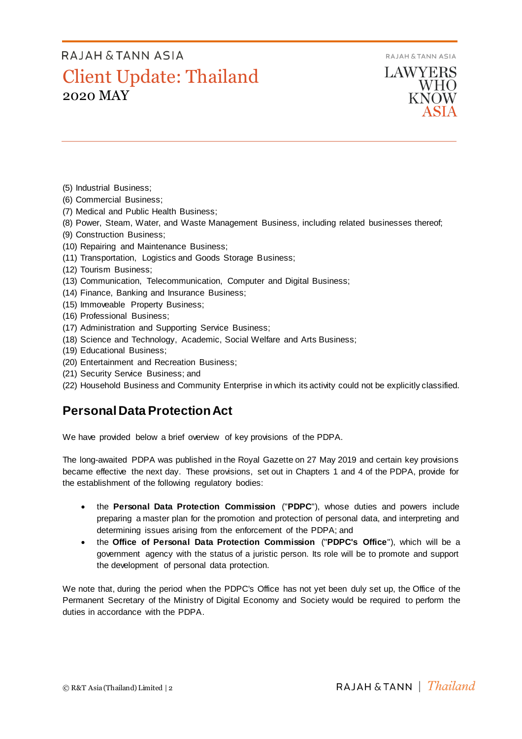RAJAH & TANN ASIA

# RAJAH & TANN ASIA Client Update: Thailand 2020 MAY

**LAWYERS WHO KNOW** 

- (5) Industrial Business;
- (6) Commercial Business;
- (7) Medical and Public Health Business;
- (8) Power, Steam, Water, and Waste Management Business, including related businesses thereof;
- (9) Construction Business;
- (10) Repairing and Maintenance Business;
- (11) Transportation, Logistics and Goods Storage Business;
- (12) Tourism Business;
- (13) Communication, Telecommunication, Computer and Digital Business;
- (14) Finance, Banking and Insurance Business;
- (15) Immoveable Property Business;
- (16) Professional Business;
- (17) Administration and Supporting Service Business;
- (18) Science and Technology, Academic, Social Welfare and Arts Business;
- (19) Educational Business;
- (20) Entertainment and Recreation Business;
- (21) Security Service Business; and
- (22) Household Business and Community Enterprise in which its activity could not be explicitly classified.

## **Personal Data Protection Act**

We have provided below a brief overview of key provisions of the PDPA.

The long-awaited PDPA was published in the Royal Gazette on 27 May 2019 and certain key provisions became effective the next day. These provisions, set out in Chapters 1 and 4 of the PDPA, provide for the establishment of the following regulatory bodies:

- the **Personal Data Protection Commission** ("**PDPC**"), whose duties and powers include preparing a master plan for the promotion and protection of personal data, and interpreting and determining issues arising from the enforcement of the PDPA; and
- the **Office of Personal Data Protection Commission** ("**PDPC's Office**"), which will be a government agency with the status of a juristic person. Its role will be to promote and support the development of personal data protection.

We note that, during the period when the PDPC's Office has not yet been duly set up, the Office of the Permanent Secretary of the Ministry of Digital Economy and Society would be required to perform the duties in accordance with the PDPA.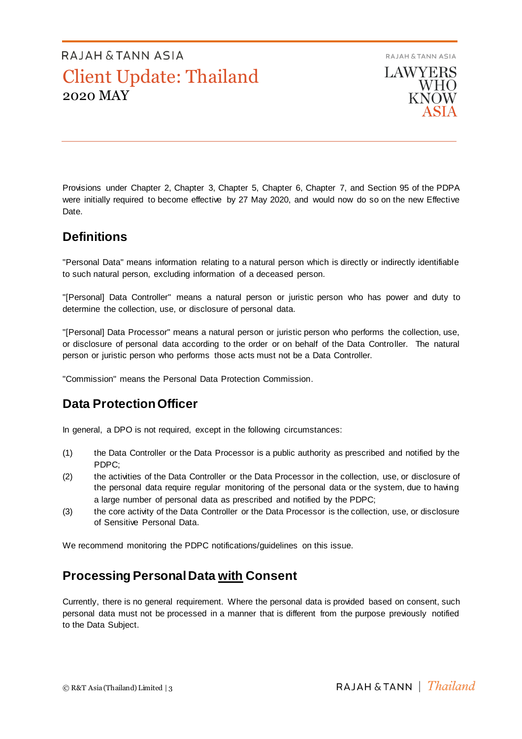

Provisions under Chapter 2, Chapter 3, Chapter 5, Chapter 6, Chapter 7, and Section 95 of the PDPA were initially required to become effective by 27 May 2020, and would now do so on the new Effective Date.

## **Definitions**

"Personal Data" means information relating to a natural person which is directly or indirectly identifiable to such natural person, excluding information of a deceased person.

"[Personal] Data Controller" means a natural person or juristic person who has power and duty to determine the collection, use, or disclosure of personal data.

"[Personal] Data Processor" means a natural person or juristic person who performs the collection, use, or disclosure of personal data according to the order or on behalf of the Data Controller. The natural person or juristic person who performs those acts must not be a Data Controller.

"Commission" means the Personal Data Protection Commission.

## **Data ProtectionOfficer**

In general, a DPO is not required, except in the following circumstances:

- (1) the Data Controller or the Data Processor is a public authority as prescribed and notified by the PDPC;
- (2) the activities of the Data Controller or the Data Processor in the collection, use, or disclosure of the personal data require regular monitoring of the personal data or the system, due to having a large number of personal data as prescribed and notified by the PDPC;
- (3) the core activity of the Data Controller or the Data Processor is the collection, use, or disclosure of Sensitive Personal Data.

We recommend monitoring the PDPC notifications/guidelines on this issue.

### **Processing Personal Data with Consent**

Currently, there is no general requirement. Where the personal data is provided based on consent, such personal data must not be processed in a manner that is different from the purpose previously notified to the Data Subject.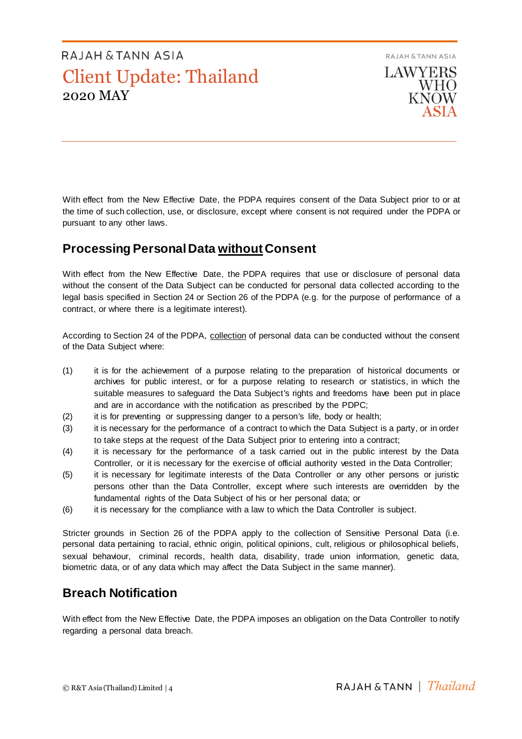RAJAH & TANN ASIA



With effect from the New Effective Date, the PDPA requires consent of the Data Subject prior to or at the time of such collection, use, or disclosure, except where consent is not required under the PDPA or pursuant to any other laws.

## **Processing Personal Data without Consent**

With effect from the New Effective Date, the PDPA requires that use or disclosure of personal data without the consent of the Data Subject can be conducted for personal data collected according to the legal basis specified in Section 24 or Section 26 of the PDPA (e.g. for the purpose of performance of a contract, or where there is a legitimate interest).

According to Section 24 of the PDPA, collection of personal data can be conducted without the consent of the Data Subject where:

- (1) it is for the achievement of a purpose relating to the preparation of historical documents or archives for public interest, or for a purpose relating to research or statistics, in which the suitable measures to safeguard the Data Subject's rights and freedoms have been put in place and are in accordance with the notification as prescribed by the PDPC;
- (2) it is for preventing or suppressing danger to a person's life, body or health;
- (3) it is necessary for the performance of a contract to which the Data Subject is a party, or in order to take steps at the request of the Data Subject prior to entering into a contract;
- (4) it is necessary for the performance of a task carried out in the public interest by the Data Controller, or it is necessary for the exercise of official authority vested in the Data Controller;
- (5) it is necessary for legitimate interests of the Data Controller or any other persons or juristic persons other than the Data Controller, except where such interests are overridden by the fundamental rights of the Data Subject of his or her personal data; or
- (6) it is necessary for the compliance with a law to which the Data Controller is subject.

Stricter grounds in Section 26 of the PDPA apply to the collection of Sensitive Personal Data (i.e. personal data pertaining to racial, ethnic origin, political opinions, cult, religious or philosophical beliefs, sexual behaviour, criminal records, health data, disability, trade union information, genetic data, biometric data, or of any data which may affect the Data Subject in the same manner).

## **Breach Notification**

With effect from the New Effective Date, the PDPA imposes an obligation on the Data Controller to notify regarding a personal data breach.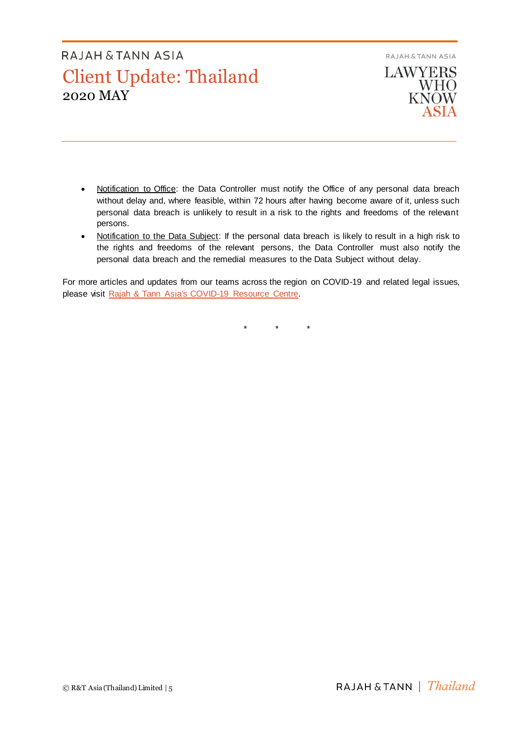

- Notification to Office: the Data Controller must notify the Office of any personal data breach without delay and, where feasible, within 72 hours after having become aware of it, unless such personal data breach is unlikely to result in a risk to the rights and freedoms of the relevant persons.
- Notification to the Data Subject: If the personal data breach is likely to result in a high risk to the rights and freedoms of the relevant persons, the Data Controller must also notify the personal data breach and the remedial measures to the Data Subject without delay.

For more articles and updates from our teams across the region on COVID-19 and related legal issues, please visit [Rajah & Tann Asia's COVID-19 Resource Centre.](https://www.rajahtannasia.com/resource-centre/covid-19)

\* \* \*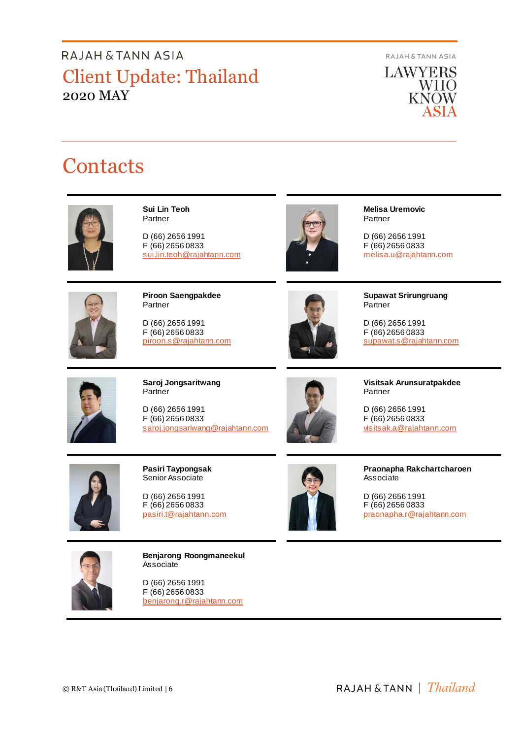RAJAH & TANN ASIA



# **Contacts**



**Sui Lin Teoh**  Partner

D (66) 2656 1991 F (66) 2656 0833 [sui.lin.teoh@rajahtann.com](mailto:sui.lin.teoh@rajahtann.com)



**Melisa Uremovic** Partner

D (66) 2656 1991 F (66) 2656 0833 melisa.u@rajahtann.com



**Piroon Saengpakdee** Partner

D (66) 2656 1991 F (66) 2656 0833 piroon.s@rajahtann.com



**Supawat Srirungruang Partner** 

D (66) 2656 1991 F (66) 2656 0833 [supawat.s@rajahtann.com](mailto:supawat.s@rajahtann.com)



**Saroj Jongsaritwang** Partner

D (66) 2656 1991 F (66) 2656 0833 [saroj.jongsariwang@rajahtann.com](mailto:saroj.jongsariwang@rajahtann.com)



**Visitsak Arunsuratpakdee** Partner

D (66) 2656 1991 F (66) 2656 0833 [visitsak.a@rajahtann.com](mailto:visitsak.a@rajahtann.com)



**Pasiri Taypongsak** Senior Associate

D (66) 2656 1991 F (66) 2656 0833 [pasiri.t@rajahtann.com](mailto:pasiri.t@rajahtann.com)



**Praonapha Rakchartcharoen** Associate

D (66) 2656 1991 F (66) 2656 0833 praonapha[.r@rajahtann.com](mailto:yingrak.t@rajahtann.com)



**Benjarong Roongmaneekul** Associate

D (66) 2656 1991 F (66) 2656 0833 benjarong.r@rajahtann.com

© R&T Asia (Thailand) Limited | 6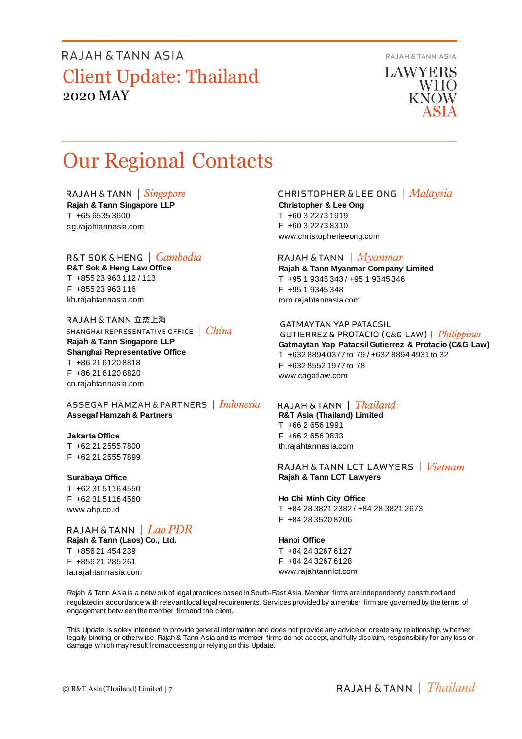RAJAH & TANN ASIA

**LAWYERS WHO KNOW** 

# Our Regional Contacts

RAJAH & TANN  $\int$  *Singapore* **Rajah & Tann Singapore LLP** T +65 6535 3600 sg.rajahtannasia.com

### R&T SOK&HENG | Cambodia

**R&T Sok & Heng Law Office** T +855 23 963 112 / 113 F +855 23 963 116 kh.rajahtannasia.com

RAJAH & TANN 立杰上海 SHANGHAI REPRESENTATIVE OFFICE | China **Rajah & Tann Singapore LLP Shanghai Representative Office** T +86 21 6120 8818 F +86 21 6120 8820 cn.rajahtannasia.com

ASSEGAF HAMZAH & PARTNERS | Indonesia **Assegaf Hamzah & Partners**

#### **Jakarta Office**

T +62 21 2555 7800 F +62 21 2555 7899

#### **Surabaya Office**

T +62 31 5116 4550 F +62 31 5116 4560 www.ahp.co.id

### RAJAH & TANN | Lao PDR

**Rajah & Tann (Laos) Co., Ltd.** T +856 21 454 239 F +856 21 285 261 la.rajahtannasia.com

### **CHRISTOPHER & LEE ONG** | Malaysia

**Christopher & Lee Ong** T +60 3 2273 1919 F +60 3 2273 8310 www.christopherleeong.com

### RAJAH & TANN  $\mid$  *Myanmar*

**Rajah & Tann Myanmar Company Limited** T +95 1 9345 343 / +95 1 9345 346 F +95 1 9345 348 mm.rajahtannasia.com

### **GATMAYTAN YAP PATACSIL**

GUTIERREZ & PROTACIO (C&G LAW) | *Philippines* **Gatmaytan Yap Patacsil Gutierrez & Protacio (C&G Law)**  T +632 8894 0377 to 79 / +632 8894 4931 to 32 F +632 8552 1977 to 78 www.cagatlaw.com

### RAJAH & TANN | *Thailand*

**R&T Asia (Thailand) Limited** T +66 2 656 1991 F +66 2 656 0833 th.rajahtannasia.com

### RAJAH & TANN LCT LAWYERS | *Vietnam* **Rajah & Tann LCT Lawyers**

#### **Ho Chi Minh City Office**

T +84 28 3821 2382 / +84 28 3821 2673 F +84 28 3520 8206

#### **Hanoi Office**

T +84 24 3267 6127 F +84 24 3267 6128 www.rajahtannlct.com

Rajah & Tann Asia is a netw ork of legal practices based in South-East Asia. Member firms are independently constituted and regulated in accordance with relevant local legal requirements. Services provided by a member firm are governed by the terms of engagement betw een the member firm and the client.

This Update is solely intended to provide general information and does not provide any advice or create any relationship, w hether legally binding or otherw ise. Rajah & Tann Asia and its member firms do not accept, and fully disclaim, responsibility for any loss or damage w hich may result from accessing or relying on this Update.

RAJAH & TANN  $\parallel$  Thailand